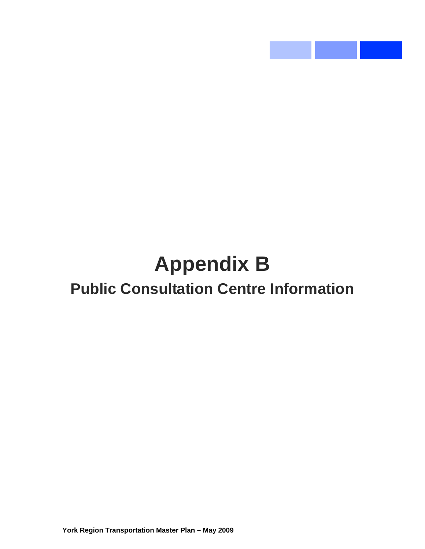# **Appendix B Public Consultation Centre Information**

 $\mathcal{L}^{\text{max}}_{\text{max}}$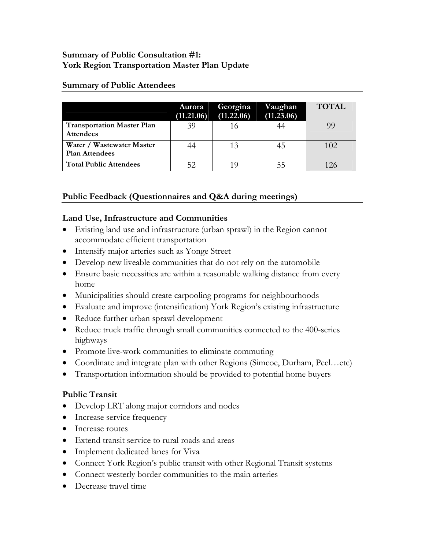#### **Summary of Public Consultation #1: York Region Transportation Master Plan Update**

#### **Summary of Public Attendees**

|                                                       | Aurora<br>(11.21.06) | Georgina<br>(11.22.06) | Vaughan<br>(11.23.06) | <b>TOTAL</b> |
|-------------------------------------------------------|----------------------|------------------------|-----------------------|--------------|
| <b>Transportation Master Plan</b><br><b>Attendees</b> | 39                   |                        |                       | 99           |
| Water / Wastewater Master<br><b>Plan Attendees</b>    | 44                   | 13                     | 45                    | 102          |
| <b>Total Public Attendees</b>                         | 52                   |                        |                       | 126          |

# **Public Feedback (Questionnaires and Q&A during meetings)**

#### **Land Use, Infrastructure and Communities**

- Existing land use and infrastructure (urban sprawl) in the Region cannot accommodate efficient transportation
- Intensify major arteries such as Yonge Street
- Develop new liveable communities that do not rely on the automobile
- Ensure basic necessities are within a reasonable walking distance from every home
- Municipalities should create carpooling programs for neighbourhoods
- Evaluate and improve (intensification) York Region's existing infrastructure
- Reduce further urban sprawl development
- Reduce truck traffic through small communities connected to the 400-series highways
- Promote live-work communities to eliminate commuting
- Coordinate and integrate plan with other Regions (Simcoe, Durham, Peel...etc)
- Transportation information should be provided to potential home buyers

### **Public Transit**

- Develop LRT along major corridors and nodes
- Increase service frequency
- Increase routes
- Extend transit service to rural roads and areas
- Implement dedicated lanes for Viva
- Connect York Region's public transit with other Regional Transit systems
- Connect westerly border communities to the main arteries
- Decrease travel time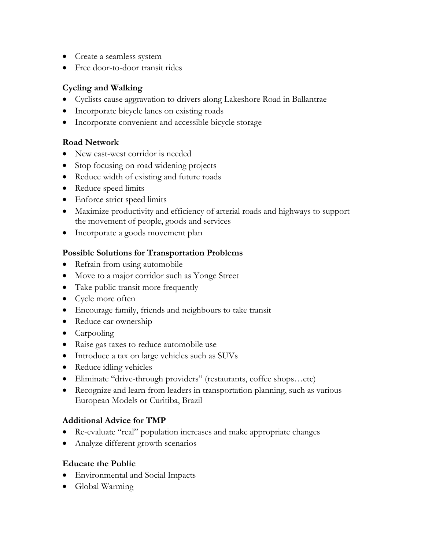- Create a seamless system
- Free door-to-door transit rides

## **Cycling and Walking**

- Cyclists cause aggravation to drivers along Lakeshore Road in Ballantrae
- Incorporate bicycle lanes on existing roads
- Incorporate convenient and accessible bicycle storage

# **Road Network**

- New east-west corridor is needed
- Stop focusing on road widening projects
- Reduce width of existing and future roads
- Reduce speed limits
- Enforce strict speed limits
- Maximize productivity and efficiency of arterial roads and highways to support the movement of people, goods and services
- Incorporate a goods movement plan

### **Possible Solutions for Transportation Problems**

- Refrain from using automobile
- Move to a major corridor such as Yonge Street
- Take public transit more frequently
- Cycle more often
- Encourage family, friends and neighbours to take transit
- Reduce car ownership
- Carpooling
- Raise gas taxes to reduce automobile use
- Introduce a tax on large vehicles such as SUVs
- Reduce idling vehicles
- Eliminate "drive-through providers" (restaurants, coffee shops...etc)
- Recognize and learn from leaders in transportation planning, such as various European Models or Curitiba, Brazil

### **Additional Advice for TMP**

- Re-evaluate "real" population increases and make appropriate changes
- Analyze different growth scenarios

### **Educate the Public**

- Environmental and Social Impacts
- Global Warming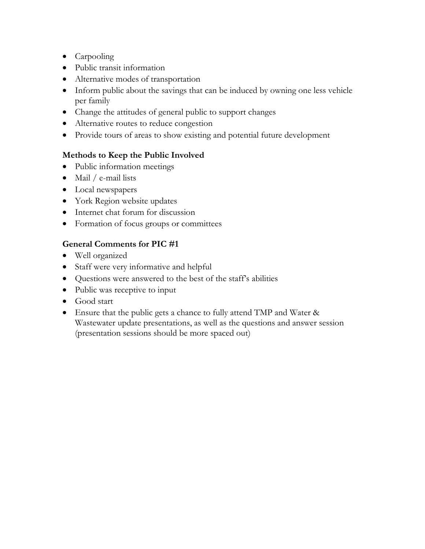- Carpooling
- Public transit information
- Alternative modes of transportation
- Inform public about the savings that can be induced by owning one less vehicle per family
- Change the attitudes of general public to support changes
- Alternative routes to reduce congestion
- Provide tours of areas to show existing and potential future development

# **Methods to Keep the Public Involved**

- Public information meetings
- Mail / e-mail lists
- Local newspapers
- York Region website updates
- Internet chat forum for discussion
- Formation of focus groups or committees

# **General Comments for PIC #1**

- Well organized
- Staff were very informative and helpful
- Questions were answered to the best of the staff's abilities
- Public was receptive to input
- Good start
- Ensure that the public gets a chance to fully attend TMP and Water & Wastewater update presentations, as well as the questions and answer session (presentation sessions should be more spaced out)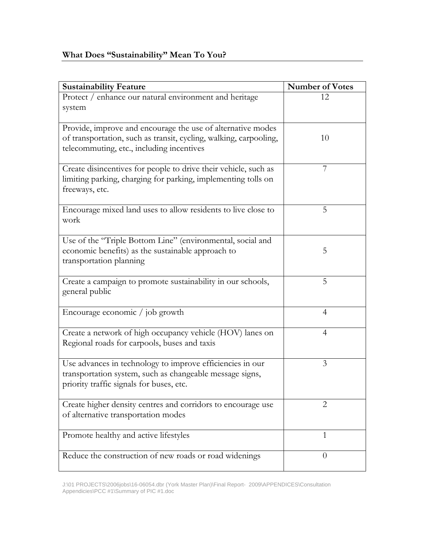| <b>Sustainability Feature</b>                                                                                                                                                 | <b>Number of Votes</b> |
|-------------------------------------------------------------------------------------------------------------------------------------------------------------------------------|------------------------|
| Protect / enhance our natural environment and heritage<br>system                                                                                                              | 12                     |
| Provide, improve and encourage the use of alternative modes<br>of transportation, such as transit, cycling, walking, carpooling,<br>telecommuting, etc., including incentives | 10                     |
| Create disincentives for people to drive their vehicle, such as<br>limiting parking, charging for parking, implementing tolls on<br>freeways, etc.                            | 7                      |
| Encourage mixed land uses to allow residents to live close to<br>work                                                                                                         | 5                      |
| Use of the "Triple Bottom Line" (environmental, social and<br>economic benefits) as the sustainable approach to<br>transportation planning                                    | 5                      |
| Create a campaign to promote sustainability in our schools,<br>general public                                                                                                 | 5                      |
| Encourage economic / job growth                                                                                                                                               | 4                      |
| Create a network of high occupancy vehicle (HOV) lanes on<br>Regional roads for carpools, buses and taxis                                                                     | $\overline{4}$         |
| Use advances in technology to improve efficiencies in our<br>transportation system, such as changeable message signs,<br>priority traffic signals for buses, etc.             | 3                      |
| Create higher density centres and corridors to encourage use<br>of alternative transportation modes                                                                           | $\overline{2}$         |
| Promote healthy and active lifestyles                                                                                                                                         | $\mathbf{1}$           |
| Reduce the construction of new roads or road widenings                                                                                                                        | $\theta$               |

J:\01 PROJECTS\2006jobs\16-06054.dbr (York Master Plan)\Final Report- 2009\APPENDICES\Consultation Appendicies\PCC #1\Summary of PIC #1.doc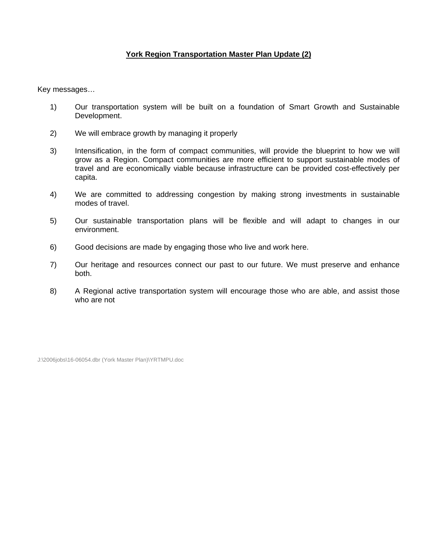#### **York Region Transportation Master Plan Update (2)**

Key messages…

- 1) Our transportation system will be built on a foundation of Smart Growth and Sustainable Development.
- 2) We will embrace growth by managing it properly
- 3) Intensification, in the form of compact communities, will provide the blueprint to how we will grow as a Region. Compact communities are more efficient to support sustainable modes of travel and are economically viable because infrastructure can be provided cost-effectively per capita.
- 4) We are committed to addressing congestion by making strong investments in sustainable modes of travel.
- 5) Our sustainable transportation plans will be flexible and will adapt to changes in our environment.
- 6) Good decisions are made by engaging those who live and work here.
- 7) Our heritage and resources connect our past to our future. We must preserve and enhance both.
- 8) A Regional active transportation system will encourage those who are able, and assist those who are not

J:\2006jobs\16-06054.dbr (York Master Plan)\YRTMPU.doc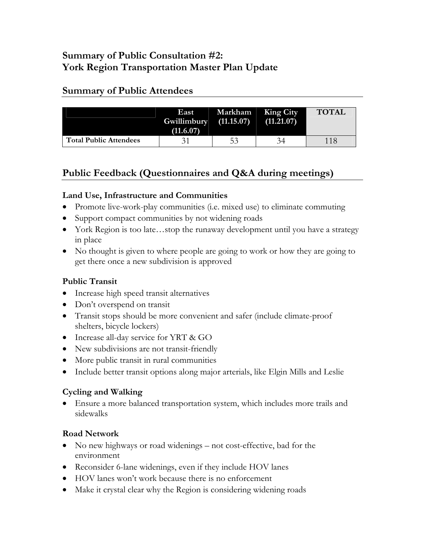# **Summary of Public Consultation #2: York Region Transportation Master Plan Update**

# **Summary of Public Attendees**

|                               | East 1<br>$Gwillimbury$ $(11.15.07)$<br>(11.6.07) | Markham King City | (11.21.07) | <b>TOTAL</b> |
|-------------------------------|---------------------------------------------------|-------------------|------------|--------------|
| <b>Total Public Attendees</b> |                                                   | 53                | 34         | 118          |

# **Public Feedback (Questionnaires and Q&A during meetings)**

# **Land Use, Infrastructure and Communities**

- Promote live-work-play communities (i.e. mixed use) to eliminate commuting
- Support compact communities by not widening roads
- York Region is too late...stop the runaway development until you have a strategy in place
- No thought is given to where people are going to work or how they are going to get there once a new subdivision is approved

# **Public Transit**

- Increase high speed transit alternatives
- Don't overspend on transit
- Transit stops should be more convenient and safer (include climate-proof shelters, bicycle lockers)
- Increase all-day service for YRT & GO
- New subdivisions are not transit-friendly
- More public transit in rural communities
- Include better transit options along major arterials, like Elgin Mills and Leslie

# **Cycling and Walking**

• Ensure a more balanced transportation system, which includes more trails and sidewalks

# **Road Network**

- No new highways or road widenings not cost-effective, bad for the environment
- Reconsider 6-lane widenings, even if they include HOV lanes
- HOV lanes won't work because there is no enforcement
- Make it crystal clear why the Region is considering widening roads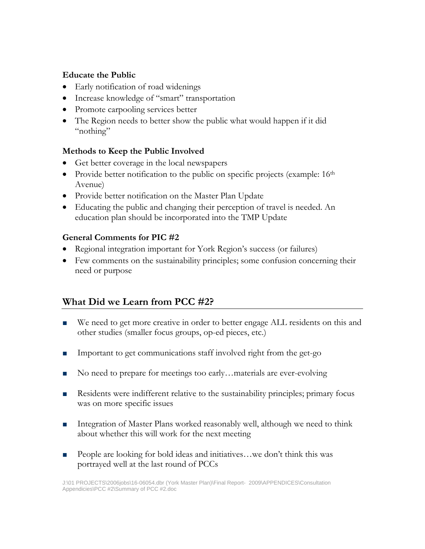#### **Educate the Public**

- Early notification of road widenings
- Increase knowledge of "smart" transportation
- Promote carpooling services better
- The Region needs to better show the public what would happen if it did "nothing"

#### **Methods to Keep the Public Involved**

- Get better coverage in the local newspapers
- Provide better notification to the public on specific projects (example: 16<sup>th</sup>) Avenue)
- Provide better notification on the Master Plan Update
- Educating the public and changing their perception of travel is needed. An education plan should be incorporated into the TMP Update

### **General Comments for PIC #2**

- Regional integration important for York Region's success (or failures)
- Few comments on the sustainability principles; some confusion concerning their need or purpose

# **What Did we Learn from PCC #2?**

- We need to get more creative in order to better engage ALL residents on this and other studies (smaller focus groups, op-ed pieces, etc.)
- Important to get communications staff involved right from the get-go
- No need to prepare for meetings too early…materials are ever-evolving
- Residents were indifferent relative to the sustainability principles; primary focus was on more specific issues
- Integration of Master Plans worked reasonably well, although we need to think about whether this will work for the next meeting
- People are looking for bold ideas and initiatives...we don't think this was portrayed well at the last round of PCCs

J:\01 PROJECTS\2006jobs\16-06054.dbr (York Master Plan)\Final Report- 2009\APPENDICES\Consultation Appendicies\PCC #2\Summary of PCC #2.doc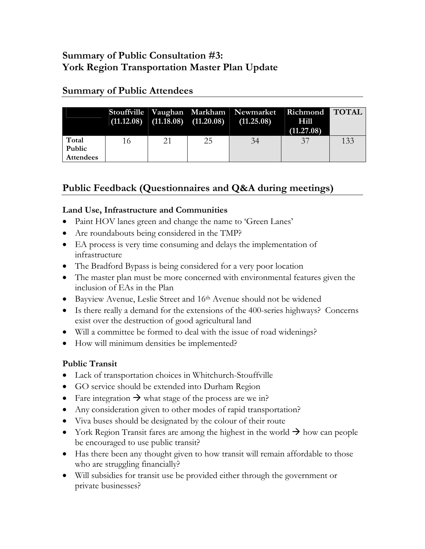# **Summary of Public Consultation #3: York Region Transportation Master Plan Update**

|                                     |    |    | $(11.12.08)$ $(11.18.\overline{08})$ $(11.20.08)$ | Stouffville Vaughan Markham Newmarket<br>(11.25.08) | Richmond TOTAL<br>Hill<br>(11.27.08) |     |
|-------------------------------------|----|----|---------------------------------------------------|-----------------------------------------------------|--------------------------------------|-----|
| Total<br>Public<br><b>Attendees</b> | 16 | 21 | 25                                                | 34                                                  | 37                                   | 133 |

# **Summary of Public Attendees**

# **Public Feedback (Questionnaires and Q&A during meetings)**

# **Land Use, Infrastructure and Communities**

- Paint HOV lanes green and change the name to 'Green Lanes'
- Are roundabouts being considered in the TMP?
- EA process is very time consuming and delays the implementation of infrastructure
- The Bradford Bypass is being considered for a very poor location
- The master plan must be more concerned with environmental features given the inclusion of EAs in the Plan
- Bayview Avenue, Leslie Street and 16<sup>th</sup> Avenue should not be widened
- Is there really a demand for the extensions of the 400-series highways? Concerns exist over the destruction of good agricultural land
- Will a committee be formed to deal with the issue of road widenings?
- How will minimum densities be implemented?

# **Public Transit**

- Lack of transportation choices in Whitchurch-Stouffville
- GO service should be extended into Durham Region
- Fare integration  $\rightarrow$  what stage of the process are we in?
- Any consideration given to other modes of rapid transportation?
- Viva buses should be designated by the colour of their route
- York Region Transit fares are among the highest in the world  $\rightarrow$  how can people be encouraged to use public transit?
- Has there been any thought given to how transit will remain affordable to those who are struggling financially?
- Will subsidies for transit use be provided either through the government or private businesses?